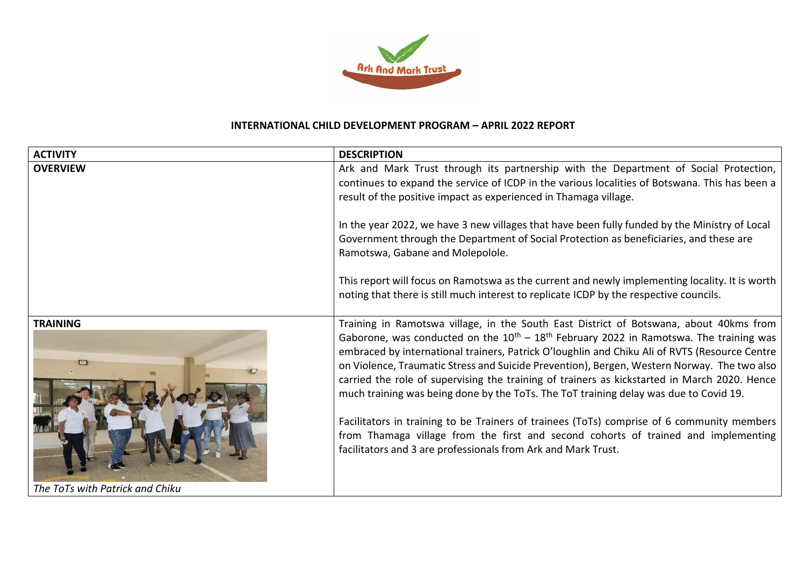

## **INTERNATIONAL CHILD DEVELOPMENT PROGRAM – APRIL 2022 REPORT**

| <b>ACTIVITY</b>                 | <b>DESCRIPTION</b>                                                                                                                                                                                                                                                                                                                                                                                                                                                                                                                                                                                                                                                                                                                                                                                                                       |
|---------------------------------|------------------------------------------------------------------------------------------------------------------------------------------------------------------------------------------------------------------------------------------------------------------------------------------------------------------------------------------------------------------------------------------------------------------------------------------------------------------------------------------------------------------------------------------------------------------------------------------------------------------------------------------------------------------------------------------------------------------------------------------------------------------------------------------------------------------------------------------|
| <b>OVERVIEW</b>                 | Ark and Mark Trust through its partnership with the Department of Social Protection,<br>continues to expand the service of ICDP in the various localities of Botswana. This has been a                                                                                                                                                                                                                                                                                                                                                                                                                                                                                                                                                                                                                                                   |
|                                 | result of the positive impact as experienced in Thamaga village.                                                                                                                                                                                                                                                                                                                                                                                                                                                                                                                                                                                                                                                                                                                                                                         |
|                                 | In the year 2022, we have 3 new villages that have been fully funded by the Ministry of Local<br>Government through the Department of Social Protection as beneficiaries, and these are<br>Ramotswa, Gabane and Molepolole.                                                                                                                                                                                                                                                                                                                                                                                                                                                                                                                                                                                                              |
|                                 | This report will focus on Ramotswa as the current and newly implementing locality. It is worth<br>noting that there is still much interest to replicate ICDP by the respective councils.                                                                                                                                                                                                                                                                                                                                                                                                                                                                                                                                                                                                                                                 |
| <b>TRAINING</b>                 | Training in Ramotswa village, in the South East District of Botswana, about 40kms from<br>Gaborone, was conducted on the $10^{th}$ – $18^{th}$ February 2022 in Ramotswa. The training was<br>embraced by international trainers, Patrick O'loughlin and Chiku Ali of RVTS (Resource Centre<br>on Violence, Traumatic Stress and Suicide Prevention), Bergen, Western Norway. The two also<br>carried the role of supervising the training of trainers as kickstarted in March 2020. Hence<br>much training was being done by the ToTs. The ToT training delay was due to Covid 19.<br>Facilitators in training to be Trainers of trainees (ToTs) comprise of 6 community members<br>from Thamaga village from the first and second cohorts of trained and implementing<br>facilitators and 3 are professionals from Ark and Mark Trust. |
| The ToTs with Patrick and Chiku |                                                                                                                                                                                                                                                                                                                                                                                                                                                                                                                                                                                                                                                                                                                                                                                                                                          |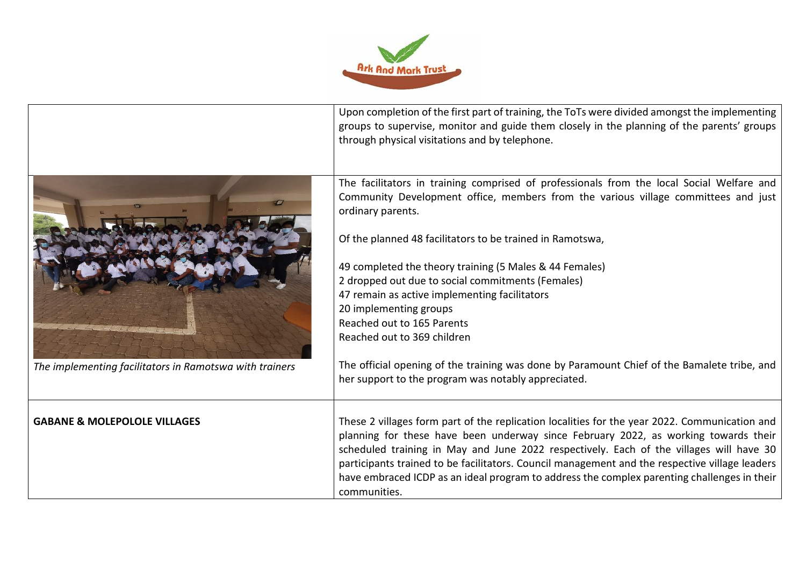

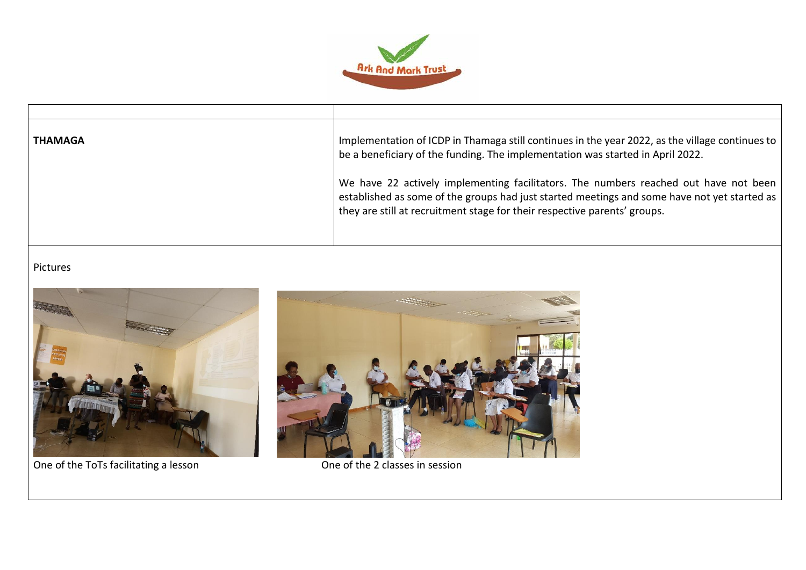

| <b>THAMAGA</b> | Implementation of ICDP in Thamaga still continues in the year 2022, as the village continues to<br>be a beneficiary of the funding. The implementation was started in April 2022.                                                                                 |
|----------------|-------------------------------------------------------------------------------------------------------------------------------------------------------------------------------------------------------------------------------------------------------------------|
|                | We have 22 actively implementing facilitators. The numbers reached out have not been<br>established as some of the groups had just started meetings and some have not yet started as<br>they are still at recruitment stage for their respective parents' groups. |

## Pictures



One of the ToTs facilitating a lesson **One of the 2 classes in session**